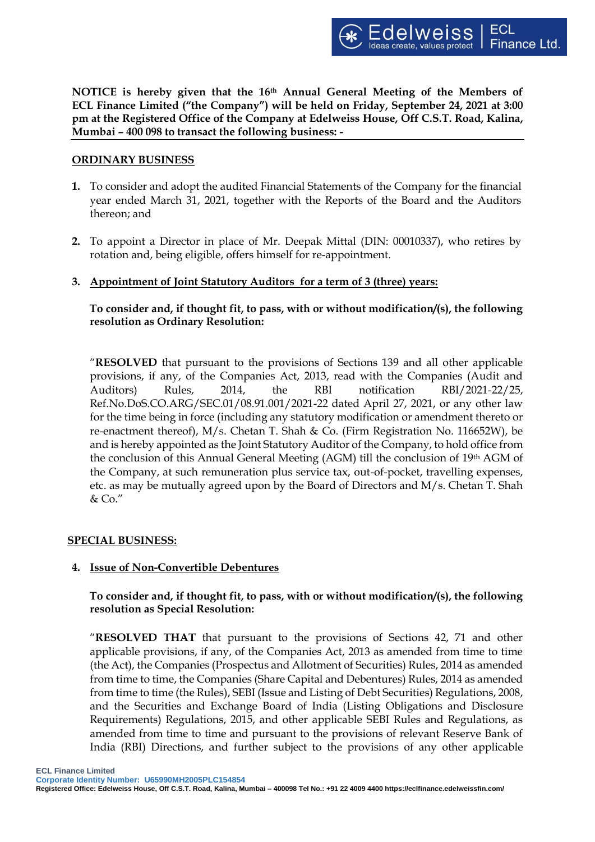**NOTICE is hereby given that the 16th Annual General Meeting of the Members of ECL Finance Limited ("the Company") will be held on Friday, September 24, 2021 at 3:00 pm at the Registered Office of the Company at Edelweiss House, Off C.S.T. Road, Kalina, Mumbai – 400 098 to transact the following business: -**

## **ORDINARY BUSINESS**

- **1.** To consider and adopt the audited Financial Statements of the Company for the financial year ended March 31, 2021, together with the Reports of the Board and the Auditors thereon; and
- **2.** To appoint a Director in place of Mr. Deepak Mittal (DIN: 00010337), who retires by rotation and, being eligible, offers himself for re-appointment.
- **3. Appointment of Joint Statutory Auditors for a term of 3 (three) years:**

 **To consider and, if thought fit, to pass, with or without modification/(s), the following resolution as Ordinary Resolution:**

"**RESOLVED** that pursuant to the provisions of Sections 139 and all other applicable provisions, if any, of the Companies Act, 2013, read with the Companies (Audit and Auditors) Rules, 2014, the RBI notification RBI/2021-22/25, Ref.No.DoS.CO.ARG/SEC.01/08.91.001/2021-22 dated April 27, 2021, or any other law for the time being in force (including any statutory modification or amendment thereto or re-enactment thereof), M/s. Chetan T. Shah & Co. (Firm Registration No. 116652W), be and is hereby appointed as the Joint Statutory Auditor of the Company, to hold office from the conclusion of this Annual General Meeting (AGM) till the conclusion of 19th AGM of the Company, at such remuneration plus service tax, out-of-pocket, travelling expenses, etc. as may be mutually agreed upon by the Board of Directors and M/s. Chetan T. Shah & Co."

# **SPECIAL BUSINESS:**

# **4. Issue of Non-Convertible Debentures**

# **To consider and, if thought fit, to pass, with or without modification/(s), the following resolution as Special Resolution:**

"**RESOLVED THAT** that pursuant to the provisions of Sections 42, 71 and other applicable provisions, if any, of the Companies Act, 2013 as amended from time to time (the Act), the Companies (Prospectus and Allotment of Securities) Rules, 2014 as amended from time to time, the Companies (Share Capital and Debentures) Rules, 2014 as amended from time to time (the Rules), SEBI (Issue and Listing of Debt Securities) Regulations, 2008, and the Securities and Exchange Board of India (Listing Obligations and Disclosure Requirements) Regulations, 2015, and other applicable SEBI Rules and Regulations, as amended from time to time and pursuant to the provisions of relevant Reserve Bank of India (RBI) Directions, and further subject to the provisions of any other applicable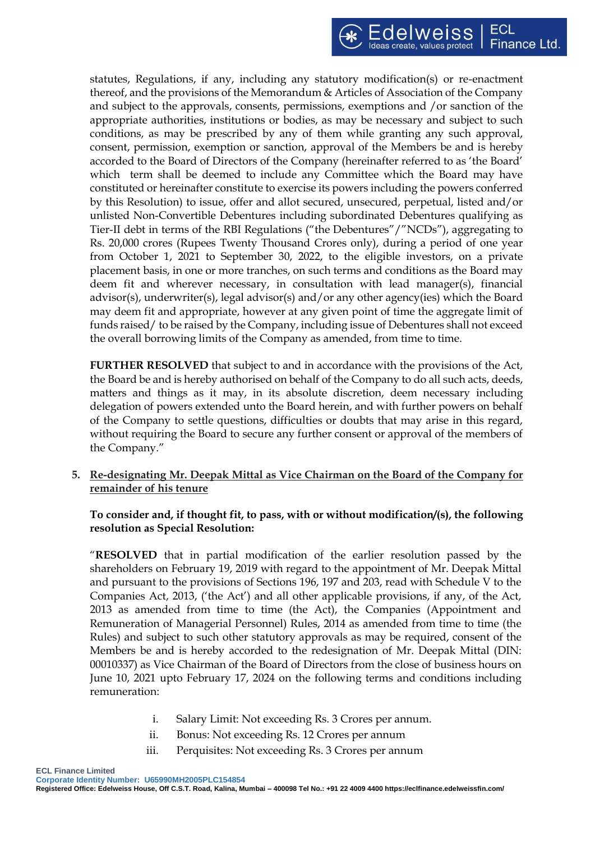statutes, Regulations, if any, including any statutory modification(s) or re-enactment thereof, and the provisions of the Memorandum & Articles of Association of the Company and subject to the approvals, consents, permissions, exemptions and /or sanction of the appropriate authorities, institutions or bodies, as may be necessary and subject to such conditions, as may be prescribed by any of them while granting any such approval, consent, permission, exemption or sanction, approval of the Members be and is hereby accorded to the Board of Directors of the Company (hereinafter referred to as 'the Board' which term shall be deemed to include any Committee which the Board may have constituted or hereinafter constitute to exercise its powers including the powers conferred by this Resolution) to issue, offer and allot secured, unsecured, perpetual, listed and/or unlisted Non-Convertible Debentures including subordinated Debentures qualifying as Tier-II debt in terms of the RBI Regulations ("the Debentures"/"NCDs"), aggregating to Rs. 20,000 crores (Rupees Twenty Thousand Crores only), during a period of one year from October 1, 2021 to September 30, 2022, to the eligible investors, on a private placement basis, in one or more tranches, on such terms and conditions as the Board may deem fit and wherever necessary, in consultation with lead manager(s), financial advisor(s), underwriter(s), legal advisor(s) and/or any other agency(ies) which the Board may deem fit and appropriate, however at any given point of time the aggregate limit of funds raised/ to be raised by the Company, including issue of Debentures shall not exceed the overall borrowing limits of the Company as amended, from time to time.

**FURTHER RESOLVED** that subject to and in accordance with the provisions of the Act, the Board be and is hereby authorised on behalf of the Company to do all such acts, deeds, matters and things as it may, in its absolute discretion, deem necessary including delegation of powers extended unto the Board herein, and with further powers on behalf of the Company to settle questions, difficulties or doubts that may arise in this regard, without requiring the Board to secure any further consent or approval of the members of the Company."

**5. Re-designating Mr. Deepak Mittal as Vice Chairman on the Board of the Company for remainder of his tenure**

# **To consider and, if thought fit, to pass, with or without modification/(s), the following resolution as Special Resolution:**

"**RESOLVED** that in partial modification of the earlier resolution passed by the shareholders on February 19, 2019 with regard to the appointment of Mr. Deepak Mittal and pursuant to the provisions of Sections 196, 197 and 203, read with Schedule V to the Companies Act, 2013, ('the Act') and all other applicable provisions, if any, of the Act, 2013 as amended from time to time (the Act), the Companies (Appointment and Remuneration of Managerial Personnel) Rules, 2014 as amended from time to time (the Rules) and subject to such other statutory approvals as may be required, consent of the Members be and is hereby accorded to the redesignation of Mr. Deepak Mittal (DIN: 00010337) as Vice Chairman of the Board of Directors from the close of business hours on June 10, 2021 upto February 17, 2024 on the following terms and conditions including remuneration:

- i. Salary Limit: Not exceeding Rs. 3 Crores per annum.
- ii. Bonus: Not exceeding Rs. 12 Crores per annum
- iii. Perquisites: Not exceeding Rs. 3 Crores per annum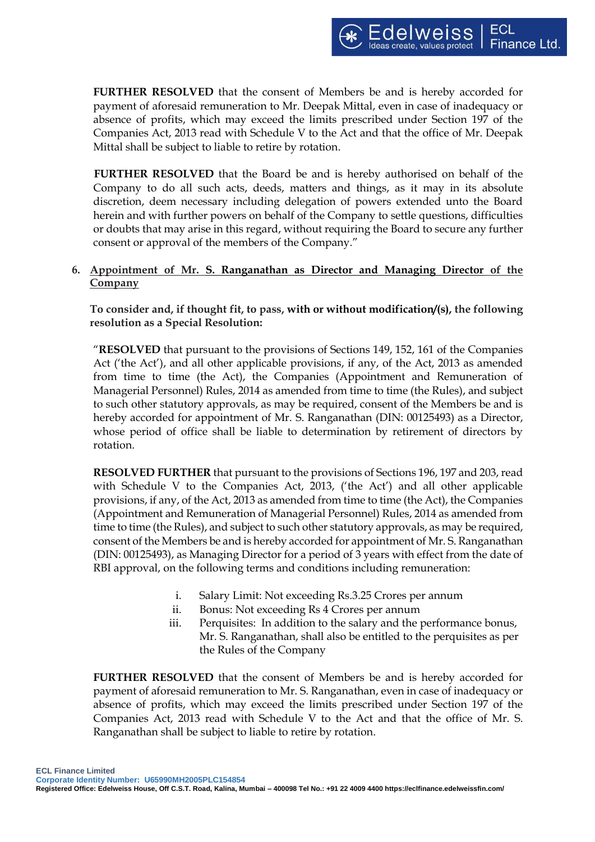**FURTHER RESOLVED** that the consent of Members be and is hereby accorded for payment of aforesaid remuneration to Mr. Deepak Mittal, even in case of inadequacy or absence of profits, which may exceed the limits prescribed under Section 197 of the Companies Act, 2013 read with Schedule V to the Act and that the office of Mr. Deepak Mittal shall be subject to liable to retire by rotation.

**FURTHER RESOLVED** that the Board be and is hereby authorised on behalf of the Company to do all such acts, deeds, matters and things, as it may in its absolute discretion, deem necessary including delegation of powers extended unto the Board herein and with further powers on behalf of the Company to settle questions, difficulties or doubts that may arise in this regard, without requiring the Board to secure any further consent or approval of the members of the Company."

# **6. Appointment of Mr. S. Ranganathan as Director and Managing Director of the Company**

**To consider and, if thought fit, to pass, with or without modification/(s), the following resolution as a Special Resolution:**

"**RESOLVED** that pursuant to the provisions of Sections 149, 152, 161 of the Companies Act ('the Act'), and all other applicable provisions, if any, of the Act, 2013 as amended from time to time (the Act), the Companies (Appointment and Remuneration of Managerial Personnel) Rules, 2014 as amended from time to time (the Rules), and subject to such other statutory approvals, as may be required, consent of the Members be and is hereby accorded for appointment of Mr. S. Ranganathan (DIN: 00125493) as a Director, whose period of office shall be liable to determination by retirement of directors by rotation.

**RESOLVED FURTHER** that pursuant to the provisions of Sections 196, 197 and 203, read with Schedule V to the Companies Act, 2013, ('the Act') and all other applicable provisions, if any, of the Act, 2013 as amended from time to time (the Act), the Companies (Appointment and Remuneration of Managerial Personnel) Rules, 2014 as amended from time to time (the Rules), and subject to such other statutory approvals, as may be required, consent of the Members be and is hereby accorded for appointment of Mr. S. Ranganathan (DIN: 00125493), as Managing Director for a period of 3 years with effect from the date of RBI approval, on the following terms and conditions including remuneration:

- i. Salary Limit: Not exceeding Rs.3.25 Crores per annum
- ii. Bonus: Not exceeding Rs 4 Crores per annum
- iii. Perquisites: In addition to the salary and the performance bonus, Mr. S. Ranganathan, shall also be entitled to the perquisites as per the Rules of the Company

**FURTHER RESOLVED** that the consent of Members be and is hereby accorded for payment of aforesaid remuneration to Mr. S. Ranganathan, even in case of inadequacy or absence of profits, which may exceed the limits prescribed under Section 197 of the Companies Act, 2013 read with Schedule V to the Act and that the office of Mr. S. Ranganathan shall be subject to liable to retire by rotation.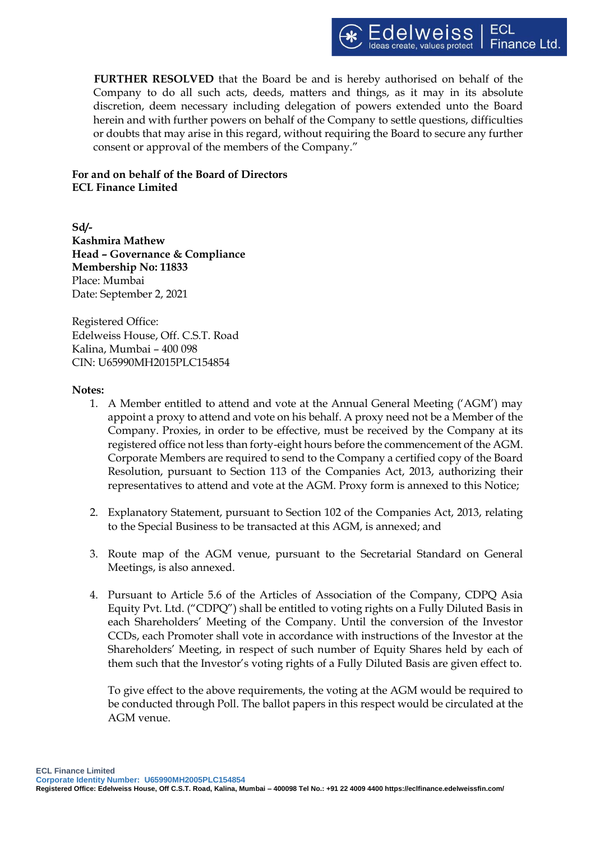

**FURTHER RESOLVED** that the Board be and is hereby authorised on behalf of the Company to do all such acts, deeds, matters and things, as it may in its absolute discretion, deem necessary including delegation of powers extended unto the Board herein and with further powers on behalf of the Company to settle questions, difficulties or doubts that may arise in this regard, without requiring the Board to secure any further consent or approval of the members of the Company."

# **For and on behalf of the Board of Directors ECL Finance Limited**

**Sd/- Kashmira Mathew Head – Governance & Compliance Membership No: 11833** Place: Mumbai Date: September 2, 2021

Registered Office: Edelweiss House, Off. C.S.T. Road Kalina, Mumbai – 400 098 CIN: U65990MH2015PLC154854

#### **Notes:**

- 1. A Member entitled to attend and vote at the Annual General Meeting ('AGM') may appoint a proxy to attend and vote on his behalf. A proxy need not be a Member of the Company. Proxies, in order to be effective, must be received by the Company at its registered office not less than forty-eight hours before the commencement of the AGM. Corporate Members are required to send to the Company a certified copy of the Board Resolution, pursuant to Section 113 of the Companies Act, 2013, authorizing their representatives to attend and vote at the AGM. Proxy form is annexed to this Notice;
- 2. Explanatory Statement, pursuant to Section 102 of the Companies Act, 2013, relating to the Special Business to be transacted at this AGM, is annexed; and
- 3. Route map of the AGM venue, pursuant to the Secretarial Standard on General Meetings, is also annexed.
- 4. Pursuant to Article 5.6 of the Articles of Association of the Company, CDPQ Asia Equity Pvt. Ltd. ("CDPQ") shall be entitled to voting rights on a Fully Diluted Basis in each Shareholders' Meeting of the Company. Until the conversion of the Investor CCDs, each Promoter shall vote in accordance with instructions of the Investor at the Shareholders' Meeting, in respect of such number of Equity Shares held by each of them such that the Investor's voting rights of a Fully Diluted Basis are given effect to.

To give effect to the above requirements, the voting at the AGM would be required to be conducted through Poll. The ballot papers in this respect would be circulated at the AGM venue.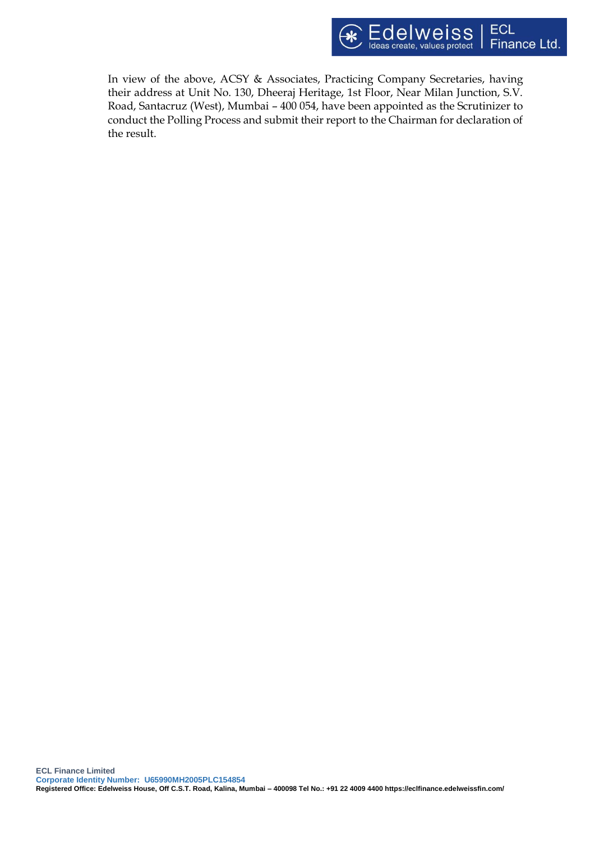

In view of the above, ACSY & Associates, Practicing Company Secretaries, having their address at Unit No. 130, Dheeraj Heritage, 1st Floor, Near Milan Junction, S.V. Road, Santacruz (West), Mumbai – 400 054, have been appointed as the Scrutinizer to conduct the Polling Process and submit their report to the Chairman for declaration of the result.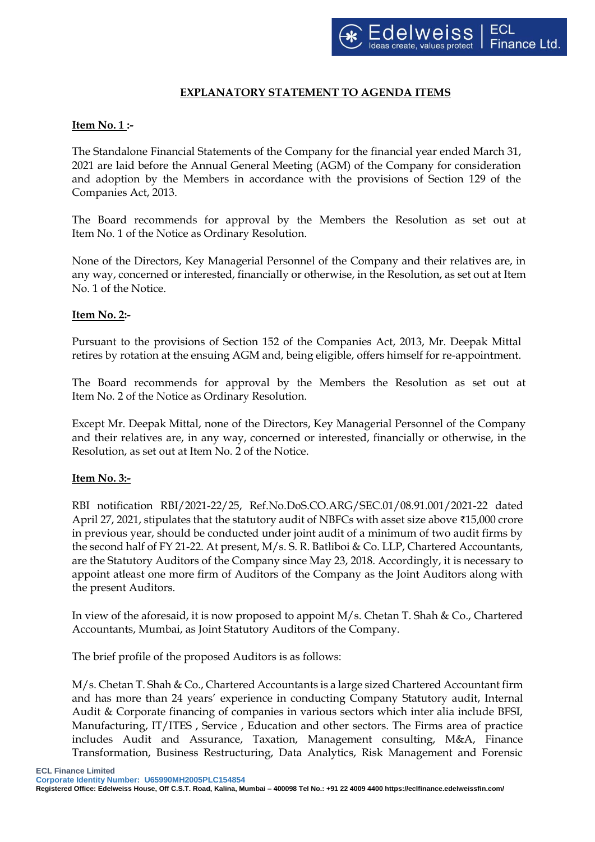# **EXPLANATORY STATEMENT TO AGENDA ITEMS**

# **Item No. 1 :-**

The Standalone Financial Statements of the Company for the financial year ended March 31, 2021 are laid before the Annual General Meeting (AGM) of the Company for consideration and adoption by the Members in accordance with the provisions of Section 129 of the Companies Act, 2013.

The Board recommends for approval by the Members the Resolution as set out at Item No. 1 of the Notice as Ordinary Resolution.

None of the Directors, Key Managerial Personnel of the Company and their relatives are, in any way, concerned or interested, financially or otherwise, in the Resolution, as set out at Item No. 1 of the Notice.

# **Item No. 2:-**

Pursuant to the provisions of Section 152 of the Companies Act, 2013, Mr. Deepak Mittal retires by rotation at the ensuing AGM and, being eligible, offers himself for re-appointment.

The Board recommends for approval by the Members the Resolution as set out at Item No. 2 of the Notice as Ordinary Resolution.

Except Mr. Deepak Mittal, none of the Directors, Key Managerial Personnel of the Company and their relatives are, in any way, concerned or interested, financially or otherwise, in the Resolution, as set out at Item No. 2 of the Notice.

# **Item No. 3:-**

RBI notification RBI/2021-22/25, Ref.No.DoS.CO.ARG/SEC.01/08.91.001/2021-22 dated April 27, 2021, stipulates that the statutory audit of NBFCs with asset size above ₹15,000 crore in previous year, should be conducted under joint audit of a minimum of two audit firms by the second half of FY 21-22. At present, M/s. S. R. Batliboi & Co. LLP, Chartered Accountants, are the Statutory Auditors of the Company since May 23, 2018. Accordingly, it is necessary to appoint atleast one more firm of Auditors of the Company as the Joint Auditors along with the present Auditors.

In view of the aforesaid, it is now proposed to appoint M/s. Chetan T. Shah & Co., Chartered Accountants, Mumbai, as Joint Statutory Auditors of the Company.

The brief profile of the proposed Auditors is as follows:

M/s. Chetan T. Shah & Co., Chartered Accountants is a large sized Chartered Accountant firm and has more than 24 years' experience in conducting Company Statutory audit, Internal Audit & Corporate financing of companies in various sectors which inter alia include BFSI, Manufacturing, IT/ITES , Service , Education and other sectors. The Firms area of practice includes Audit and Assurance, Taxation, Management consulting, M&A, Finance Transformation, Business Restructuring, Data Analytics, Risk Management and Forensic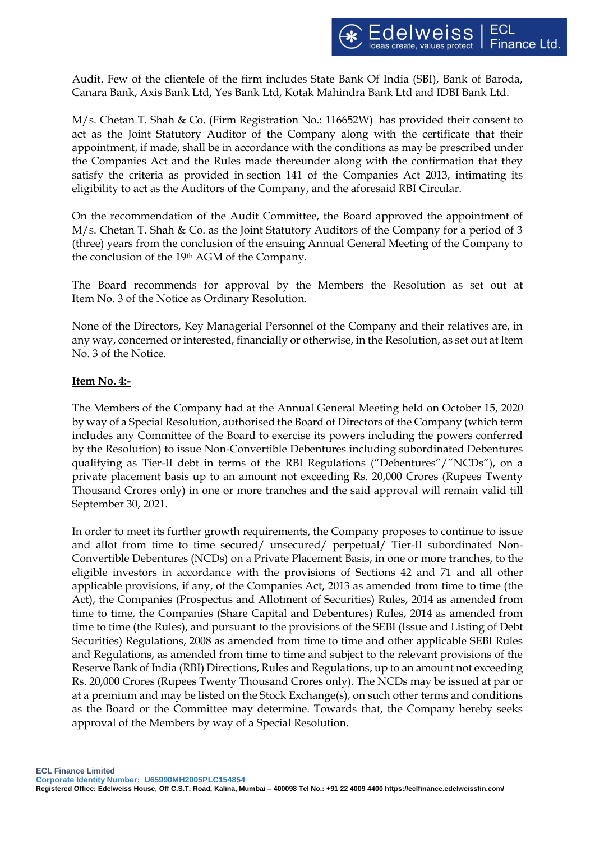Audit. Few of the clientele of the firm includes State Bank Of India (SBI), Bank of Baroda, Canara Bank, Axis Bank Ltd, Yes Bank Ltd, Kotak Mahindra Bank Ltd and IDBI Bank Ltd.

M/s. Chetan T. Shah & Co. (Firm Registration No.: 116652W) has provided their consent to act as the Joint Statutory Auditor of the Company along with the certificate that their appointment, if made, shall be in accordance with the conditions [as may be prescribed](https://mca.gov.in/content/mca/global/en/acts-rules/ebooks/acts.html?act=5961) under the Companies Act and the Rules made thereunder along with the confirmation that they satisfy the criteria as provided in [section 141](https://mca.gov.in/content/mca/global/en/acts-rules/ebooks/acts.html?act=5961) of the Companies Act 2013, intimating its eligibility to act as the Auditors of the Company, and the aforesaid RBI Circular.

On the recommendation of the Audit Committee, the Board approved the appointment of M/s. Chetan T. Shah & Co. as the Joint Statutory Auditors of the Company for a period of 3 (three) years from the conclusion of the ensuing Annual General Meeting of the Company to the conclusion of the 19th AGM of the Company.

The Board recommends for approval by the Members the Resolution as set out at Item No. 3 of the Notice as Ordinary Resolution.

None of the Directors, Key Managerial Personnel of the Company and their relatives are, in any way, concerned or interested, financially or otherwise, in the Resolution, as set out at Item No. 3 of the Notice.

# **Item No. 4:-**

The Members of the Company had at the Annual General Meeting held on October 15, 2020 by way of a Special Resolution, authorised the Board of Directors of the Company (which term includes any Committee of the Board to exercise its powers including the powers conferred by the Resolution) to issue Non-Convertible Debentures including subordinated Debentures qualifying as Tier-II debt in terms of the RBI Regulations ("Debentures"/"NCDs"), on a private placement basis up to an amount not exceeding Rs. 20,000 Crores (Rupees Twenty Thousand Crores only) in one or more tranches and the said approval will remain valid till September 30, 2021.

In order to meet its further growth requirements, the Company proposes to continue to issue and allot from time to time secured/ unsecured/ perpetual/ Tier-II subordinated Non-Convertible Debentures (NCDs) on a Private Placement Basis, in one or more tranches, to the eligible investors in accordance with the provisions of Sections 42 and 71 and all other applicable provisions, if any, of the Companies Act, 2013 as amended from time to time (the Act), the Companies (Prospectus and Allotment of Securities) Rules, 2014 as amended from time to time, the Companies (Share Capital and Debentures) Rules, 2014 as amended from time to time (the Rules), and pursuant to the provisions of the SEBI (Issue and Listing of Debt Securities) Regulations, 2008 as amended from time to time and other applicable SEBI Rules and Regulations, as amended from time to time and subject to the relevant provisions of the Reserve Bank of India (RBI) Directions, Rules and Regulations, up to an amount not exceeding Rs. 20,000 Crores (Rupees Twenty Thousand Crores only). The NCDs may be issued at par or at a premium and may be listed on the Stock Exchange(s), on such other terms and conditions as the Board or the Committee may determine. Towards that, the Company hereby seeks approval of the Members by way of a Special Resolution.

**ECL Finance Limited**

**Corporate Identity Number: U65990MH2005PLC154854**

**Registered Office: Edelweiss House, Off C.S.T. Road, Kalina, Mumbai – 400098 Tel No.: +91 22 4009 4400 https://eclfinance.edelweissfin.com/**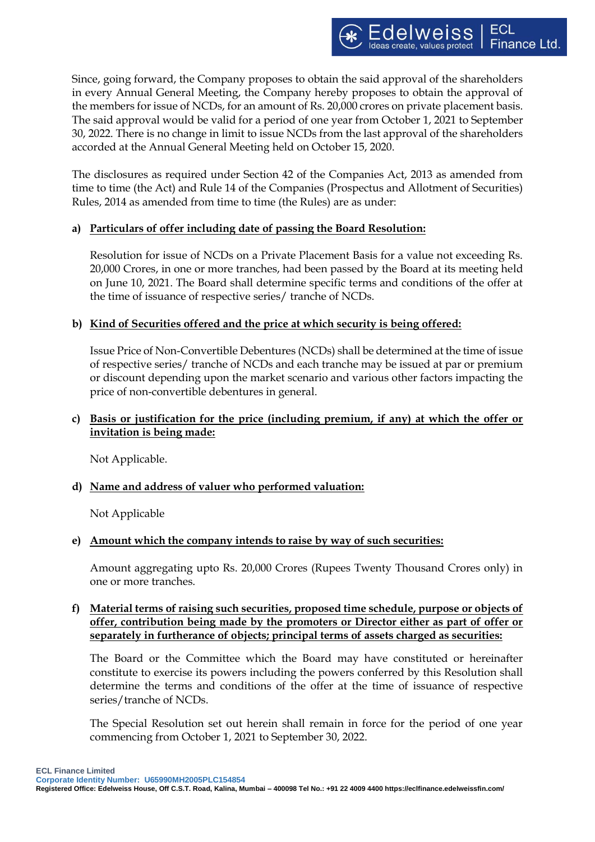Since, going forward, the Company proposes to obtain the said approval of the shareholders in every Annual General Meeting, the Company hereby proposes to obtain the approval of the members for issue of NCDs, for an amount of Rs. 20,000 crores on private placement basis. The said approval would be valid for a period of one year from October 1, 2021 to September 30, 2022. There is no change in limit to issue NCDs from the last approval of the shareholders accorded at the Annual General Meeting held on October 15, 2020.

The disclosures as required under Section 42 of the Companies Act, 2013 as amended from time to time (the Act) and Rule 14 of the Companies (Prospectus and Allotment of Securities) Rules, 2014 as amended from time to time (the Rules) are as under:

# **a) Particulars of offer including date of passing the Board Resolution:**

Resolution for issue of NCDs on a Private Placement Basis for a value not exceeding Rs. 20,000 Crores, in one or more tranches, had been passed by the Board at its meeting held on June 10, 2021. The Board shall determine specific terms and conditions of the offer at the time of issuance of respective series/ tranche of NCDs.

# **b) Kind of Securities offered and the price at which security is being offered:**

Issue Price of Non-Convertible Debentures (NCDs) shall be determined at the time of issue of respective series/ tranche of NCDs and each tranche may be issued at par or premium or discount depending upon the market scenario and various other factors impacting the price of non-convertible debentures in general.

# **c) Basis or justification for the price (including premium, if any) at which the offer or invitation is being made:**

Not Applicable.

# **d) Name and address of valuer who performed valuation:**

Not Applicable

# **e) Amount which the company intends to raise by way of such securities:**

Amount aggregating upto Rs. 20,000 Crores (Rupees Twenty Thousand Crores only) in one or more tranches.

# **f) Material terms of raising such securities, proposed time schedule, purpose or objects of offer, contribution being made by the promoters or Director either as part of offer or separately in furtherance of objects; principal terms of assets charged as securities:**

The Board or the Committee which the Board may have constituted or hereinafter constitute to exercise its powers including the powers conferred by this Resolution shall determine the terms and conditions of the offer at the time of issuance of respective series/tranche of NCDs.

The Special Resolution set out herein shall remain in force for the period of one year commencing from October 1, 2021 to September 30, 2022.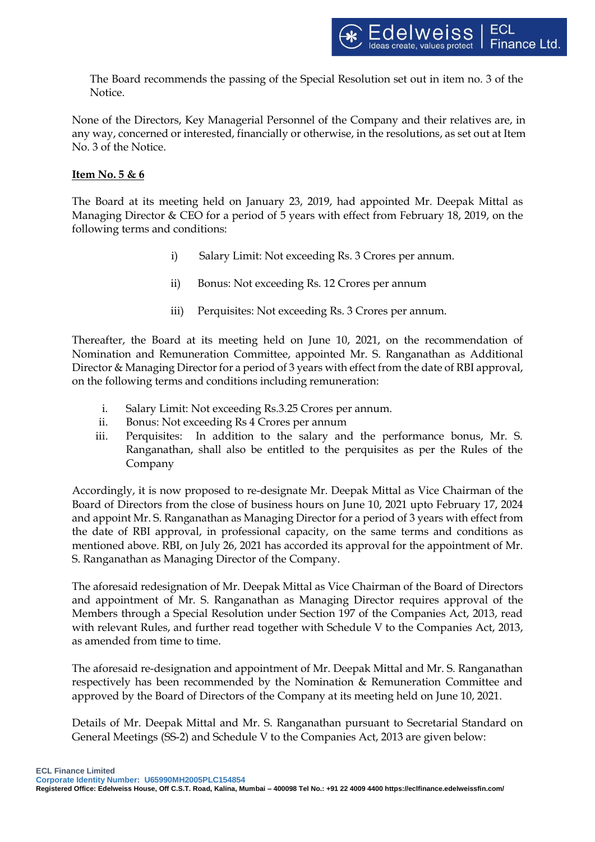The Board recommends the passing of the Special Resolution set out in item no. 3 of the Notice.

None of the Directors, Key Managerial Personnel of the Company and their relatives are, in any way, concerned or interested, financially or otherwise, in the resolutions, as set out at Item No. 3 of the Notice.

# **Item No. 5 & 6**

The Board at its meeting held on January 23, 2019, had appointed Mr. Deepak Mittal as Managing Director & CEO for a period of 5 years with effect from February 18, 2019, on the following terms and conditions:

- i) Salary Limit: Not exceeding Rs. 3 Crores per annum.
- ii) Bonus: Not exceeding Rs. 12 Crores per annum
- iii) Perquisites: Not exceeding Rs. 3 Crores per annum.

Thereafter, the Board at its meeting held on June 10, 2021, on the recommendation of Nomination and Remuneration Committee, appointed Mr. S. Ranganathan as Additional Director & Managing Director for a period of 3 years with effect from the date of RBI approval, on the following terms and conditions including remuneration:

- i. Salary Limit: Not exceeding Rs.3.25 Crores per annum.
- ii. Bonus: Not exceeding Rs 4 Crores per annum
- iii. Perquisites: In addition to the salary and the performance bonus, Mr. S. Ranganathan, shall also be entitled to the perquisites as per the Rules of the Company

Accordingly, it is now proposed to re-designate Mr. Deepak Mittal as Vice Chairman of the Board of Directors from the close of business hours on June 10, 2021 upto February 17, 2024 and appoint Mr. S. Ranganathan as Managing Director for a period of 3 years with effect from the date of RBI approval, in professional capacity, on the same terms and conditions as mentioned above. RBI, on July 26, 2021 has accorded its approval for the appointment of Mr. S. Ranganathan as Managing Director of the Company.

The aforesaid redesignation of Mr. Deepak Mittal as Vice Chairman of the Board of Directors and appointment of Mr. S. Ranganathan as Managing Director requires approval of the Members through a Special Resolution under Section 197 of the Companies Act, 2013, read with relevant Rules, and further read together with Schedule V to the Companies Act, 2013, as amended from time to time.

The aforesaid re-designation and appointment of Mr. Deepak Mittal and Mr. S. Ranganathan respectively has been recommended by the Nomination & Remuneration Committee and approved by the Board of Directors of the Company at its meeting held on June 10, 2021.

Details of Mr. Deepak Mittal and Mr. S. Ranganathan pursuant to Secretarial Standard on General Meetings (SS-2) and Schedule V to the Companies Act, 2013 are given below:

**Corporate Identity Number: U65990MH2005PLC154854**

**Registered Office: Edelweiss House, Off C.S.T. Road, Kalina, Mumbai – 400098 Tel No.: +91 22 4009 4400 https://eclfinance.edelweissfin.com/**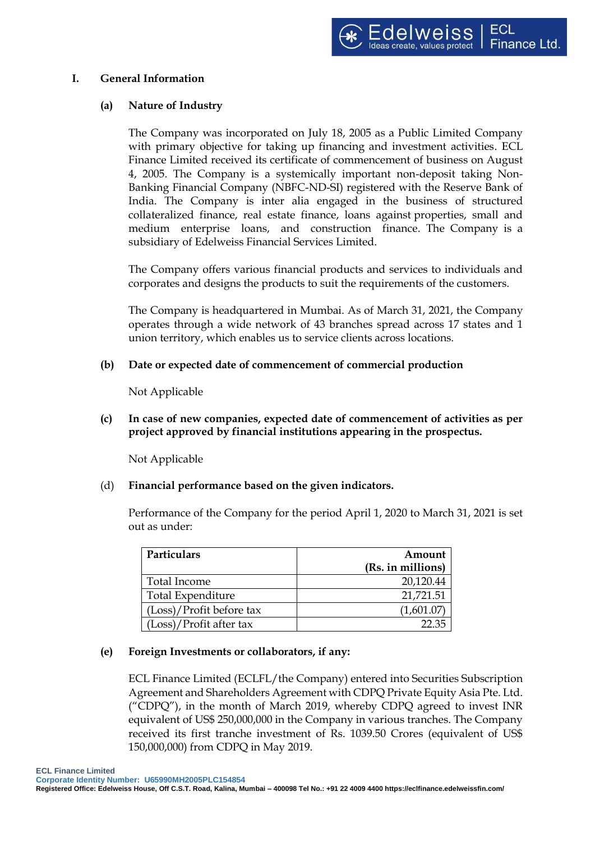### **I. General Information**

### **(a) Nature of Industry**

The Company was incorporated on July 18, 2005 as a Public Limited Company with primary objective for taking up financing and investment activities. ECL Finance Limited received its certificate of commencement of business on August 4, 2005. The Company is a systemically important non-deposit taking Non-Banking Financial Company (NBFC-ND-SI) registered with the Reserve Bank of India. The Company is inter alia engaged in the business of structured collateralized finance, real estate finance, loans against properties, small and medium enterprise loans, and construction finance. The Company is a subsidiary of Edelweiss Financial Services Limited.

The Company offers various financial products and services to individuals and corporates and designs the products to suit the requirements of the customers.

The Company is headquartered in Mumbai. As of March 31, 2021, the Company operates through a wide network of 43 branches spread across 17 states and 1 union territory, which enables us to service clients across locations.

### **(b) Date or expected date of commencement of commercial production**

Not Applicable

**(c) In case of new companies, expected date of commencement of activities as per project approved by financial institutions appearing in the prospectus.**

Not Applicable

(d) **Financial performance based on the given indicators.**

Performance of the Company for the period April 1, 2020 to March 31, 2021 is set out as under:

| Particulars               | Amount            |
|---------------------------|-------------------|
|                           | (Rs. in millions) |
| Total Income              | 20,120.44         |
| Total Expenditure         | 21,721.51         |
| (Loss)/Profit before tax  | (1,601.07)        |
| $(Loss)/Profit$ after tax | 22.35             |

#### **(e) Foreign Investments or collaborators, if any:**

ECL Finance Limited (ECLFL/the Company) entered into Securities Subscription Agreement and Shareholders Agreement with CDPQ Private Equity Asia Pte. Ltd. ("CDPQ"), in the month of March 2019, whereby CDPQ agreed to invest INR equivalent of US\$ 250,000,000 in the Company in various tranches. The Company received its first tranche investment of Rs. 1039.50 Crores (equivalent of US\$ 150,000,000) from CDPQ in May 2019.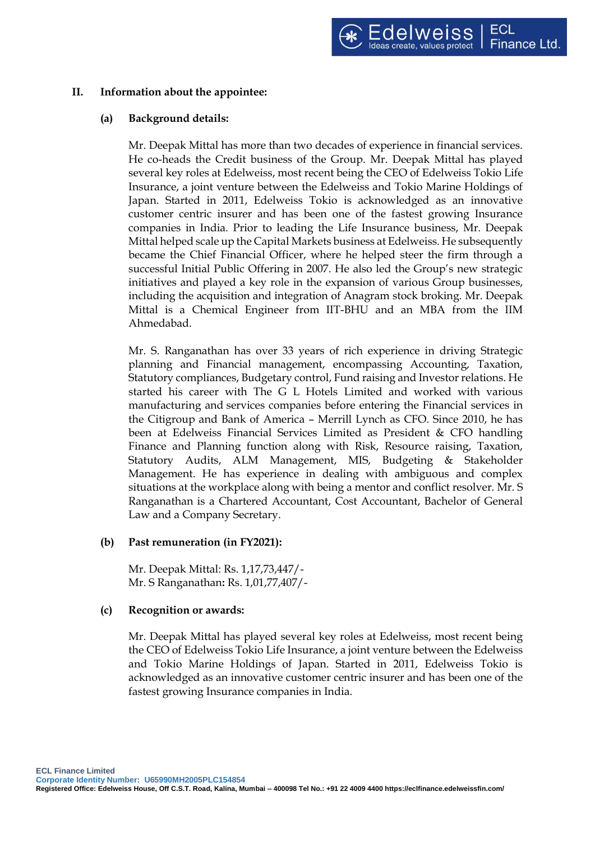# **II. Information about the appointee:**

#### **(a) Background details:**

Mr. Deepak Mittal has more than two decades of experience in financial services. He co-heads the Credit business of the Group. Mr. Deepak Mittal has played several key roles at Edelweiss, most recent being the CEO of Edelweiss Tokio Life Insurance, a joint venture between the Edelweiss and Tokio Marine Holdings of Japan. Started in 2011, Edelweiss Tokio is acknowledged as an innovative customer centric insurer and has been one of the fastest growing Insurance companies in India. Prior to leading the Life Insurance business, Mr. Deepak Mittal helped scale up the Capital Markets business at Edelweiss. He subsequently became the Chief Financial Officer, where he helped steer the firm through a successful Initial Public Offering in 2007. He also led the Group's new strategic initiatives and played a key role in the expansion of various Group businesses, including the acquisition and integration of Anagram stock broking. Mr. Deepak Mittal is a Chemical Engineer from IIT-BHU and an MBA from the IIM Ahmedabad.

Mr. S. Ranganathan has over 33 years of rich experience in driving Strategic planning and Financial management, encompassing Accounting, Taxation, Statutory compliances, Budgetary control, Fund raising and Investor relations. He started his career with The G L Hotels Limited and worked with various manufacturing and services companies before entering the Financial services in the Citigroup and Bank of America – Merrill Lynch as CFO. Since 2010, he has been at Edelweiss Financial Services Limited as President & CFO handling Finance and Planning function along with Risk, Resource raising, Taxation, Statutory Audits, ALM Management, MIS, Budgeting & Stakeholder Management. He has experience in dealing with ambiguous and complex situations at the workplace along with being a mentor and conflict resolver. Mr. S Ranganathan is a Chartered Accountant, Cost Accountant, Bachelor of General Law and a Company Secretary.

#### **(b) Past remuneration (in FY2021):**

Mr. Deepak Mittal: Rs. 1,17,73,447/- Mr. S Ranganathan**:** Rs. 1,01,77,407/-

# **(c) Recognition or awards:**

Mr. Deepak Mittal has played several key roles at Edelweiss, most recent being the CEO of Edelweiss Tokio Life Insurance, a joint venture between the Edelweiss and Tokio Marine Holdings of Japan. Started in 2011, Edelweiss Tokio is acknowledged as an innovative customer centric insurer and has been one of the fastest growing Insurance companies in India.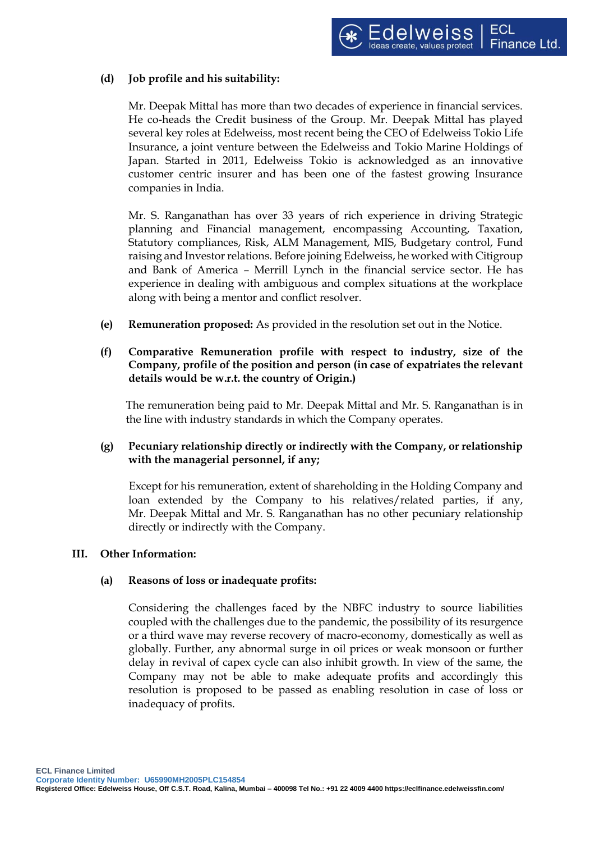# **(d) Job profile and his suitability:**

Mr. Deepak Mittal has more than two decades of experience in financial services. He co-heads the Credit business of the Group. Mr. Deepak Mittal has played several key roles at Edelweiss, most recent being the CEO of Edelweiss Tokio Life Insurance, a joint venture between the Edelweiss and Tokio Marine Holdings of Japan. Started in 2011, Edelweiss Tokio is acknowledged as an innovative customer centric insurer and has been one of the fastest growing Insurance companies in India.

Mr. S. Ranganathan has over 33 years of rich experience in driving Strategic planning and Financial management, encompassing Accounting, Taxation, Statutory compliances, Risk, ALM Management, MIS, Budgetary control, Fund raising and Investor relations. Before joining Edelweiss, he worked with Citigroup and Bank of America – Merrill Lynch in the financial service sector. He has experience in dealing with ambiguous and complex situations at the workplace along with being a mentor and conflict resolver.

- **(e) Remuneration proposed:** As provided in the resolution set out in the Notice.
- **(f) Comparative Remuneration profile with respect to industry, size of the Company, profile of the position and person (in case of expatriates the relevant details would be w.r.t. the country of Origin.)**

The remuneration being paid to Mr. Deepak Mittal and Mr. S. Ranganathan is in the line with industry standards in which the Company operates.

# **(g) Pecuniary relationship directly or indirectly with the Company, or relationship with the managerial personnel, if any;**

Except for his remuneration, extent of shareholding in the Holding Company and loan extended by the Company to his relatives/related parties, if any, Mr. Deepak Mittal and Mr. S. Ranganathan has no other pecuniary relationship directly or indirectly with the Company.

#### **III. Other Information:**

#### **(a) Reasons of loss or inadequate profits:**

Considering the challenges faced by the NBFC industry to source liabilities coupled with the challenges due to the pandemic, the possibility of its resurgence or a third wave may reverse recovery of macro-economy, domestically as well as globally. Further, any abnormal surge in oil prices or weak monsoon or further delay in revival of capex cycle can also inhibit growth. In view of the same, the Company may not be able to make adequate profits and accordingly this resolution is proposed to be passed as enabling resolution in case of loss or inadequacy of profits.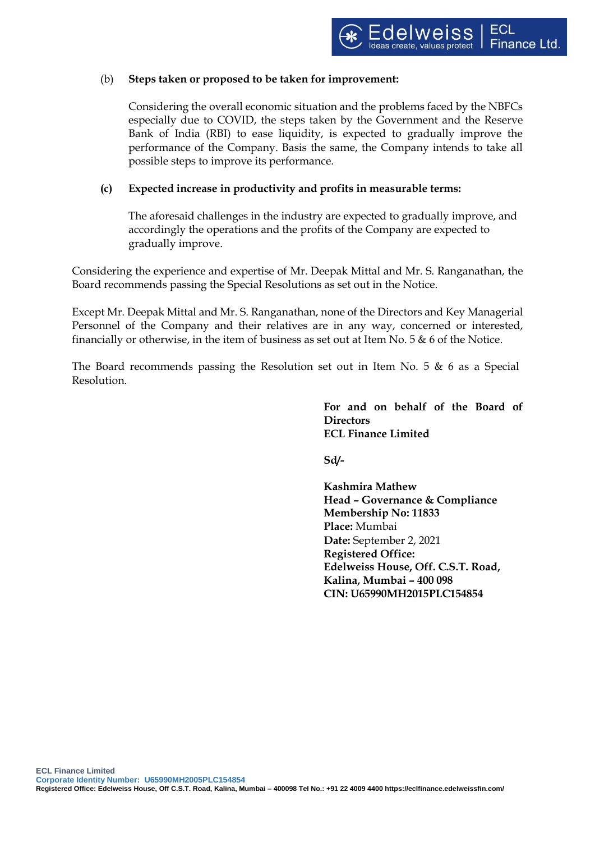## (b) **Steps taken or proposed to be taken for improvement:**

Considering the overall economic situation and the problems faced by the NBFCs especially due to COVID, the steps taken by the Government and the Reserve Bank of India (RBI) to ease liquidity, is expected to gradually improve the performance of the Company. Basis the same, the Company intends to take all possible steps to improve its performance.

# **(c) Expected increase in productivity and profits in measurable terms:**

The aforesaid challenges in the industry are expected to gradually improve, and accordingly the operations and the profits of the Company are expected to gradually improve.

Considering the experience and expertise of Mr. Deepak Mittal and Mr. S. Ranganathan, the Board recommends passing the Special Resolutions as set out in the Notice.

Except Mr. Deepak Mittal and Mr. S. Ranganathan, none of the Directors and Key Managerial Personnel of the Company and their relatives are in any way, concerned or interested, financially or otherwise, in the item of business as set out at Item No.  $5 \& 6$  of the Notice.

The Board recommends passing the Resolution set out in Item No. 5  $\&$  6 as a Special Resolution.

> **For and on behalf of the Board of Directors ECL Finance Limited**

**Sd/-**

**Kashmira Mathew Head – Governance & Compliance Membership No: 11833 Place:** Mumbai **Date:** September 2, 2021 **Registered Office: Edelweiss House, Off. C.S.T. Road, Kalina, Mumbai – 400 098 CIN: U65990MH2015PLC154854**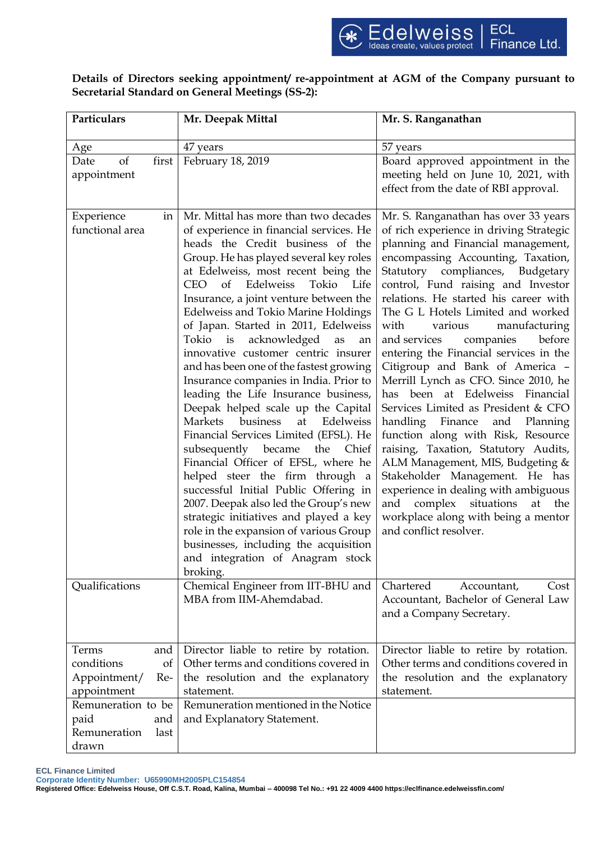# Details of Directors seeking appointment/ re-appointment at AGM of the Company pursuant to **Secretarial Standard on General Meetings (SS-2):**

| Particulars                                                                                                                                  | Mr. Deepak Mittal                                                                                                                                                                                                                                                                                                                                                                                                                                                                                                                                                                                                                                                                                                                                                                                                                                                                                                                                                                                                                                                                                  | Mr. S. Ranganathan                                                                                                                                                                                                                                                                                                                                                                                                                                                                                                                                                                                                                                                                                                                                                                                                                                                                                                                 |  |  |
|----------------------------------------------------------------------------------------------------------------------------------------------|----------------------------------------------------------------------------------------------------------------------------------------------------------------------------------------------------------------------------------------------------------------------------------------------------------------------------------------------------------------------------------------------------------------------------------------------------------------------------------------------------------------------------------------------------------------------------------------------------------------------------------------------------------------------------------------------------------------------------------------------------------------------------------------------------------------------------------------------------------------------------------------------------------------------------------------------------------------------------------------------------------------------------------------------------------------------------------------------------|------------------------------------------------------------------------------------------------------------------------------------------------------------------------------------------------------------------------------------------------------------------------------------------------------------------------------------------------------------------------------------------------------------------------------------------------------------------------------------------------------------------------------------------------------------------------------------------------------------------------------------------------------------------------------------------------------------------------------------------------------------------------------------------------------------------------------------------------------------------------------------------------------------------------------------|--|--|
| Age                                                                                                                                          | 47 years                                                                                                                                                                                                                                                                                                                                                                                                                                                                                                                                                                                                                                                                                                                                                                                                                                                                                                                                                                                                                                                                                           | 57 years                                                                                                                                                                                                                                                                                                                                                                                                                                                                                                                                                                                                                                                                                                                                                                                                                                                                                                                           |  |  |
| of<br>first<br>Date<br>appointment                                                                                                           | February 18, 2019                                                                                                                                                                                                                                                                                                                                                                                                                                                                                                                                                                                                                                                                                                                                                                                                                                                                                                                                                                                                                                                                                  | Board approved appointment in the<br>meeting held on June 10, 2021, with<br>effect from the date of RBI approval.                                                                                                                                                                                                                                                                                                                                                                                                                                                                                                                                                                                                                                                                                                                                                                                                                  |  |  |
| Experience<br>ın<br>functional area                                                                                                          | Mr. Mittal has more than two decades<br>of experience in financial services. He<br>heads the Credit business of the<br>Group. He has played several key roles<br>at Edelweiss, most recent being the<br>of Edelweiss<br>Tokio<br>CEO.<br>Life<br>Insurance, a joint venture between the<br><b>Edelweiss and Tokio Marine Holdings</b><br>of Japan. Started in 2011, Edelweiss<br>Tokio is<br>acknowledged<br>as<br>an<br>innovative customer centric insurer<br>and has been one of the fastest growing<br>Insurance companies in India. Prior to<br>leading the Life Insurance business,<br>Deepak helped scale up the Capital<br>Edelweiss<br>Markets<br>business<br>at<br>Financial Services Limited (EFSL). He<br>subsequently became<br>the<br>Chief<br>Financial Officer of EFSL, where he<br>helped steer the firm through a<br>successful Initial Public Offering in<br>2007. Deepak also led the Group's new<br>strategic initiatives and played a key<br>role in the expansion of various Group<br>businesses, including the acquisition<br>and integration of Anagram stock<br>broking. | Mr. S. Ranganathan has over 33 years<br>of rich experience in driving Strategic<br>planning and Financial management,<br>encompassing Accounting, Taxation,<br>Statutory compliances, Budgetary<br>control, Fund raising and Investor<br>relations. He started his career with<br>The G L Hotels Limited and worked<br>various<br>with<br>manufacturing<br>before<br>and services<br>companies<br>entering the Financial services in the<br>Citigroup and Bank of America -<br>Merrill Lynch as CFO. Since 2010, he<br>has been at Edelweiss Financial<br>Services Limited as President & CFO<br>handling<br>Finance<br>and Planning<br>function along with Risk, Resource<br>raising, Taxation, Statutory Audits,<br>ALM Management, MIS, Budgeting &<br>Stakeholder Management. He has<br>experience in dealing with ambiguous<br>and complex situations at the<br>workplace along with being a mentor<br>and conflict resolver. |  |  |
| Qualifications                                                                                                                               | Chemical Engineer from IIT-BHU and<br>MBA from IIM-Ahemdabad.                                                                                                                                                                                                                                                                                                                                                                                                                                                                                                                                                                                                                                                                                                                                                                                                                                                                                                                                                                                                                                      | Chartered<br>Accountant,<br>Cost<br>Accountant, Bachelor of General Law<br>and a Company Secretary.                                                                                                                                                                                                                                                                                                                                                                                                                                                                                                                                                                                                                                                                                                                                                                                                                                |  |  |
| Terms<br>and<br>conditions<br>of<br>Appointment/<br>Re-<br>appointment<br>Remuneration to be<br>paid<br>and<br>Remuneration<br>last<br>drawn | Director liable to retire by rotation.<br>Other terms and conditions covered in<br>the resolution and the explanatory<br>statement.<br>Remuneration mentioned in the Notice<br>and Explanatory Statement.                                                                                                                                                                                                                                                                                                                                                                                                                                                                                                                                                                                                                                                                                                                                                                                                                                                                                          | Director liable to retire by rotation.<br>Other terms and conditions covered in<br>the resolution and the explanatory<br>statement.                                                                                                                                                                                                                                                                                                                                                                                                                                                                                                                                                                                                                                                                                                                                                                                                |  |  |

**ECL Finance Limited**

**Corporate Identity Number: U65990MH2005PLC154854**

**Registered Office: Edelweiss House, Off C.S.T. Road, Kalina, Mumbai – 400098 Tel No.: +91 22 4009 4400 https://eclfinance.edelweissfin.com/**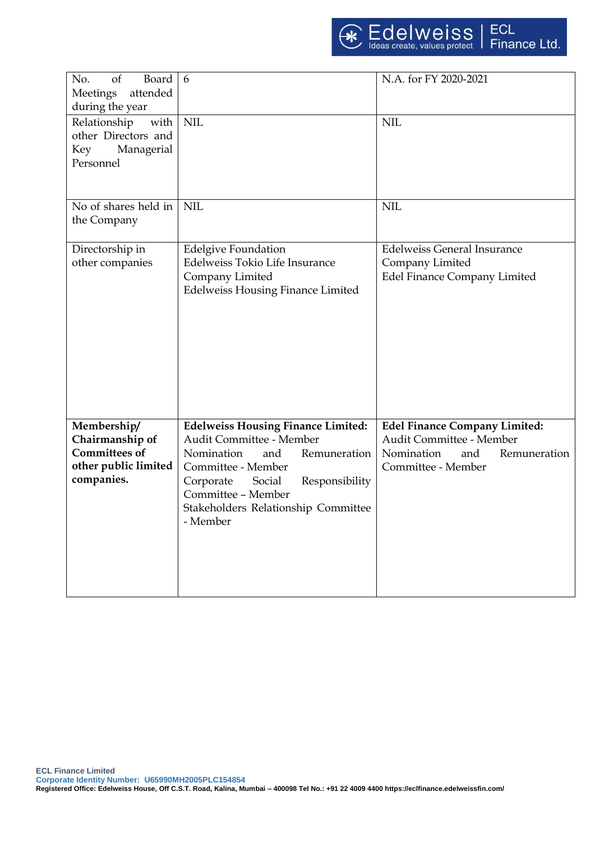| of<br>Board<br>No.<br>attended<br>Meetings<br>during the year                                | 6                                                                                                                                                                                                                                                  | N.A. for FY 2020-2021                                                                                                       |
|----------------------------------------------------------------------------------------------|----------------------------------------------------------------------------------------------------------------------------------------------------------------------------------------------------------------------------------------------------|-----------------------------------------------------------------------------------------------------------------------------|
| with<br>Relationship<br>other Directors and<br>Key<br>Managerial<br>Personnel                | <b>NIL</b>                                                                                                                                                                                                                                         | <b>NIL</b>                                                                                                                  |
| No of shares held in<br>the Company                                                          | <b>NIL</b>                                                                                                                                                                                                                                         | <b>NIL</b>                                                                                                                  |
| Directorship in<br>other companies                                                           | <b>Edelgive Foundation</b><br>Edelweiss Tokio Life Insurance<br>Company Limited<br><b>Edelweiss Housing Finance Limited</b>                                                                                                                        | <b>Edelweiss General Insurance</b><br>Company Limited<br><b>Edel Finance Company Limited</b>                                |
| Membership/<br>Chairmanship of<br><b>Committees of</b><br>other public limited<br>companies. | <b>Edelweiss Housing Finance Limited:</b><br>Audit Committee - Member<br>Nomination<br>and<br>Remuneration<br>Committee - Member<br>Responsibility<br>Corporate<br>Social<br>Committee - Member<br>Stakeholders Relationship Committee<br>- Member | <b>Edel Finance Company Limited:</b><br>Audit Committee - Member<br>Nomination<br>and<br>Remuneration<br>Committee - Member |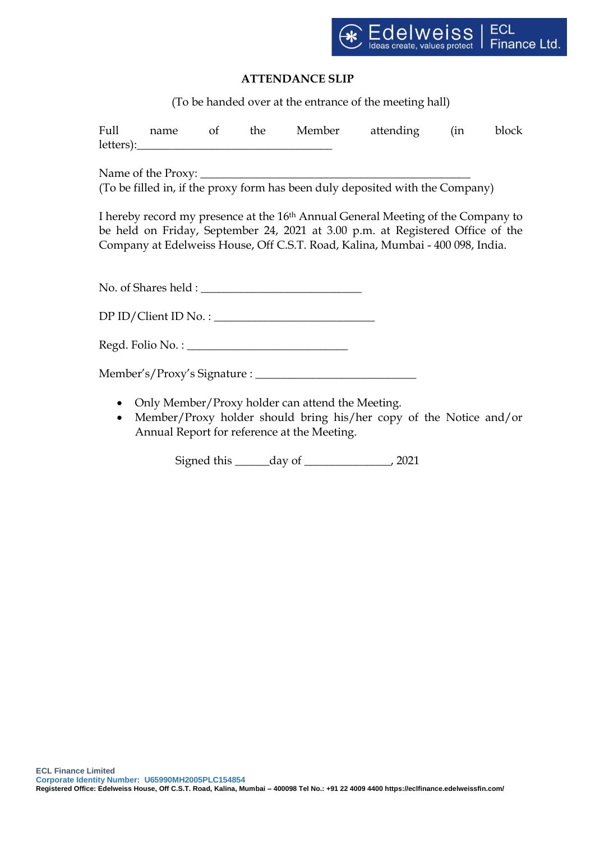

# **ATTENDANCE SLIP**

(To be handed over at the entrance of the meeting hall)

|  |  |                                                                                                                                                                                                                                                                                                                                                                                        | Full name of the Member attending (in block                                                                                                                                                                                                                     |  |
|--|--|----------------------------------------------------------------------------------------------------------------------------------------------------------------------------------------------------------------------------------------------------------------------------------------------------------------------------------------------------------------------------------------|-----------------------------------------------------------------------------------------------------------------------------------------------------------------------------------------------------------------------------------------------------------------|--|
|  |  | $letters): \begin{tabular}{ l l } \hline & \multicolumn{3}{ l }{0.00331} & \multicolumn{3}{ l }{0.0033} & \multicolumn{3}{ l }{0.0033} & \multicolumn{3}{ l }{0.0033} & \multicolumn{3}{ l }{0.0033} & \multicolumn{3}{ l }{0.0033} & \multicolumn{3}{ l }{0.0033} & \multicolumn{3}{ l }{0.0033} & \multicolumn{3}{ l }{0.0033} & \multicolumn{3}{ l }{0.0033} & \multicolumn{3}{ l $ |                                                                                                                                                                                                                                                                 |  |
|  |  |                                                                                                                                                                                                                                                                                                                                                                                        |                                                                                                                                                                                                                                                                 |  |
|  |  |                                                                                                                                                                                                                                                                                                                                                                                        |                                                                                                                                                                                                                                                                 |  |
|  |  |                                                                                                                                                                                                                                                                                                                                                                                        | (To be filled in, if the proxy form has been duly deposited with the Company)                                                                                                                                                                                   |  |
|  |  |                                                                                                                                                                                                                                                                                                                                                                                        | I hereby record my presence at the 16 <sup>th</sup> Annual General Meeting of the Company to<br>be held on Friday, September 24, 2021 at 3.00 p.m. at Registered Office of the<br>Company at Edelweiss House, Off C.S.T. Road, Kalina, Mumbai - 400 098, India. |  |
|  |  | No. of Shares held :                                                                                                                                                                                                                                                                                                                                                                   |                                                                                                                                                                                                                                                                 |  |
|  |  | $DP ID/Client ID No. : \_$                                                                                                                                                                                                                                                                                                                                                             |                                                                                                                                                                                                                                                                 |  |
|  |  |                                                                                                                                                                                                                                                                                                                                                                                        |                                                                                                                                                                                                                                                                 |  |
|  |  |                                                                                                                                                                                                                                                                                                                                                                                        |                                                                                                                                                                                                                                                                 |  |
|  |  | Only Member/Proxy holder can attend the Meeting.                                                                                                                                                                                                                                                                                                                                       |                                                                                                                                                                                                                                                                 |  |

 Member/Proxy holder should bring his/her copy of the Notice and/or Annual Report for reference at the Meeting.

Signed this \_\_\_\_\_\_day of \_\_\_\_\_\_\_\_\_\_\_\_\_, 2021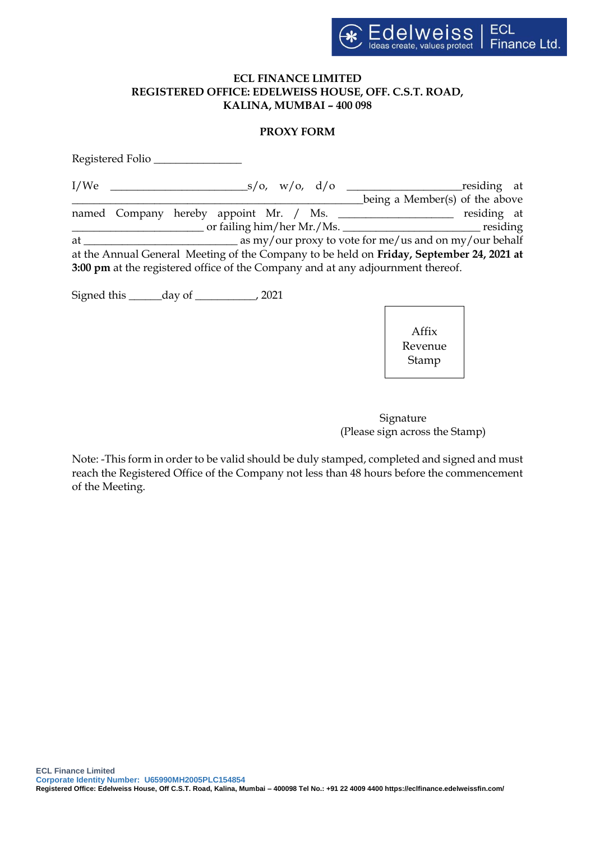

#### **ECL FINANCE LIMITED REGISTERED OFFICE: EDELWEISS HOUSE, OFF. C.S.T. ROAD, KALINA, MUMBAI – 400 098**

## **PROXY FORM**

| Registered Folio |  |  |                                                                                 |                                                                                          |  |
|------------------|--|--|---------------------------------------------------------------------------------|------------------------------------------------------------------------------------------|--|
|                  |  |  |                                                                                 | $\sim$ s/o, w/o, d/o $\sim$ residing at                                                  |  |
|                  |  |  |                                                                                 | being a Member(s) of the above                                                           |  |
|                  |  |  |                                                                                 | named Company hereby appoint Mr. / Ms. ____________________ residing at                  |  |
|                  |  |  |                                                                                 |                                                                                          |  |
|                  |  |  |                                                                                 |                                                                                          |  |
|                  |  |  |                                                                                 | at the Annual General Meeting of the Company to be held on Friday, September 24, 2021 at |  |
|                  |  |  | 3:00 pm at the registered office of the Company and at any adjournment thereof. |                                                                                          |  |
|                  |  |  |                                                                                 |                                                                                          |  |

Signed this \_\_\_\_\_\_day of \_\_\_\_\_\_\_\_\_, 2021



 Signature (Please sign across the Stamp)

Note: -This form in order to be valid should be duly stamped, completed and signed and must reach the Registered Office of the Company not less than 48 hours before the commencement of the Meeting.